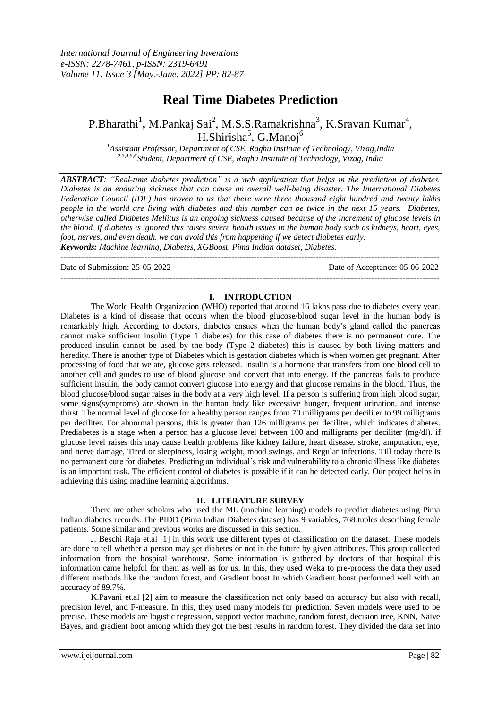# **Real Time Diabetes Prediction**

P.Bharathi<sup>1</sup>, M.Pankaj Sai<sup>2</sup>, M.S.S.Ramakrishna<sup>3</sup>, K.Sravan Kumar<sup>4</sup>, H.Shirisha<sup>5</sup>, G.Manoj<sup>6</sup>

*<sup>1</sup>Assistant Professor, Department of CSE, Raghu Institute of Technology, Vizag,India 2,3,4,5,6Student, Department of CSE, Raghu Institute of Technology, Vizag, India*

*ABSTRACT: "Real-time diabetes prediction" is a web application that helps in the prediction of diabetes. Diabetes is an enduring sickness that can cause an overall well-being disaster. The International Diabetes Federation Council (IDF) has proven to us that there were three thousand eight hundred and twenty lakhs people in the world are living with diabetes and this number can be twice in the next 15 years. Diabetes, otherwise called Diabetes Mellitus is an ongoing sickness caused because of the increment of glucose levels in the blood. If diabetes is ignored this raises severe health issues in the human body such as kidneys, heart, eyes, foot, nerves, and even death. we can avoid this from happening if we detect diabetes early. Keywords: Machine learning, Diabetes, XGBoost, Pima Indian dataset, Diabetes.*

 $-1\leq i\leq n-1\leq n-1\leq n-1\leq n-1\leq n-1\leq n-1\leq n-1\leq n-1\leq n-1\leq n-1\leq n-1\leq n-1\leq n-1\leq n-1\leq n-1\leq n-1\leq n-1\leq n-1\leq n-1\leq n-1\leq n-1\leq n-1\leq n-1\leq n-1\leq n-1\leq n-1\leq n-1\leq n-1\leq n-1\leq n-1\leq n-1\leq n-1\leq n-1\leq n-1\leq n-1\leq n$ 

---------------------------------------------------------------------------------------------------------------------------------------

Date of Submission: 25-05-2022 Date of Acceptance: 05-06-2022

#### **I. INTRODUCTION**

The World Health Organization (WHO) reported that around 16 lakhs pass due to diabetes every year. Diabetes is a kind of disease that occurs when the blood glucose/blood sugar level in the human body is remarkably high. According to doctors, diabetes ensues when the human body's gland called the pancreas cannot make sufficient insulin (Type 1 diabetes) for this case of diabetes there is no permanent cure. The produced insulin cannot be used by the body (Type 2 diabetes) this is caused by both living matters and heredity. There is another type of Diabetes which is gestation diabetes which is when women get pregnant. After processing of food that we ate, glucose gets released. Insulin is a hormone that transfers from one blood cell to another cell and guides to use of blood glucose and convert that into energy. If the pancreas fails to produce sufficient insulin, the body cannot convert glucose into energy and that glucose remains in the blood. Thus, the blood glucose/blood sugar raises in the body at a very high level. If a person is suffering from high blood sugar, some signs(symptoms) are shown in the human body like excessive hunger, frequent urination, and intense thirst. The normal level of glucose for a healthy person ranges from 70 milligrams per deciliter to 99 milligrams per deciliter. For abnormal persons, this is greater than 126 milligrams per deciliter, which indicates diabetes. Prediabetes is a stage when a person has a glucose level between 100 and milligrams per deciliter (mg/dl). if glucose level raises this may cause health problems like kidney failure, heart disease, stroke, amputation, eye, and nerve damage, Tired or sleepiness, losing weight, mood swings, and Regular infections. Till today there is no permanent cure for diabetes. Predicting an individual's risk and vulnerability to a chronic illness like diabetes is an important task. The efficient control of diabetes is possible if it can be detected early. Our project helps in achieving this using machine learning algorithms.

### **II. LITERATURE SURVEY**

There are other scholars who used the ML (machine learning) models to predict diabetes using Pima Indian diabetes records. The PIDD (Pima Indian Diabetes dataset) has 9 variables, 768 tuples describing female patients. Some similar and previous works are discussed in this section.

J. Beschi Raja et.al [1] in this work use different types of classification on the dataset. These models are done to tell whether a person may get diabetes or not in the future by given attributes. This group collected information from the hospital warehouse. Some information is gathered by doctors of that hospital this information came helpful for them as well as for us. In this, they used Weka to pre-process the data they used different methods like the random forest, and Gradient boost In which Gradient boost performed well with an accuracy of 89.7%.

K.Pavani et.al [2] aim to measure the classification not only based on accuracy but also with recall, precision level, and F-measure. In this, they used many models for prediction. Seven models were used to be precise. These models are logistic regression, support vector machine, random forest, decision tree, KNN, Naïve Bayes, and gradient boot among which they got the best results in random forest. They divided the data set into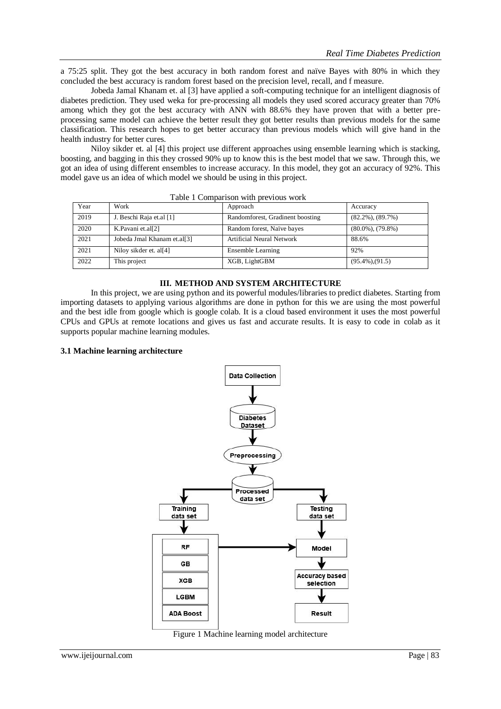a 75:25 split. They got the best accuracy in both random forest and naïve Bayes with 80% in which they concluded the best accuracy is random forest based on the precision level, recall, and f measure.

Jobeda Jamal Khanam et. al [3] have applied a soft-computing technique for an intelligent diagnosis of diabetes prediction. They used weka for pre-processing all models they used scored accuracy greater than 70% among which they got the best accuracy with ANN with 88.6% they have proven that with a better preprocessing same model can achieve the better result they got better results than previous models for the same classification. This research hopes to get better accuracy than previous models which will give hand in the health industry for better cures.

Niloy sikder et. al [4] this project use different approaches using ensemble learning which is stacking, boosting, and bagging in this they crossed 90% up to know this is the best model that we saw. Through this, we got an idea of using different ensembles to increase accuracy. In this model, they got an accuracy of 92%. This model gave us an idea of which model we should be using in this project.

| $1.0010 + 1.0011100 + 1.001110 + 1.00001100 + 1.011100$ |                             |                                  |                         |  |
|---------------------------------------------------------|-----------------------------|----------------------------------|-------------------------|--|
| Year                                                    | Work                        | Approach                         | Accuracy                |  |
| 2019                                                    | J. Beschi Raja et.al [1]    | Randomforest, Gradinent boosting | $(82.2\%)$ , $(89.7\%)$ |  |
| 2020                                                    | K.Pavani et.al[2]           | Random forest, Naïve bayes       | $(80.0\%)$ , $(79.8\%)$ |  |
| 2021                                                    | Jobeda Jmal Khanam et.al[3] | <b>Artificial Neural Network</b> | 88.6%                   |  |
| 2021                                                    | Niloy sikder et. al[4]      | Ensemble Learning                | 92%                     |  |
| 2022                                                    | This project                | XGB, LightGBM                    | $(95.4\%), (91.5)$      |  |

Table 1 Comparison with previous work

## **III. METHOD AND SYSTEM ARCHITECTURE**

In this project, we are using python and its powerful modules/libraries to predict diabetes. Starting from importing datasets to applying various algorithms are done in python for this we are using the most powerful and the best idle from google which is google colab. It is a cloud based environment it uses the most powerful CPUs and GPUs at remote locations and gives us fast and accurate results. It is easy to code in colab as it supports popular machine learning modules.

#### **3.1 Machine learning architecture**



Figure 1 Machine learning model architecture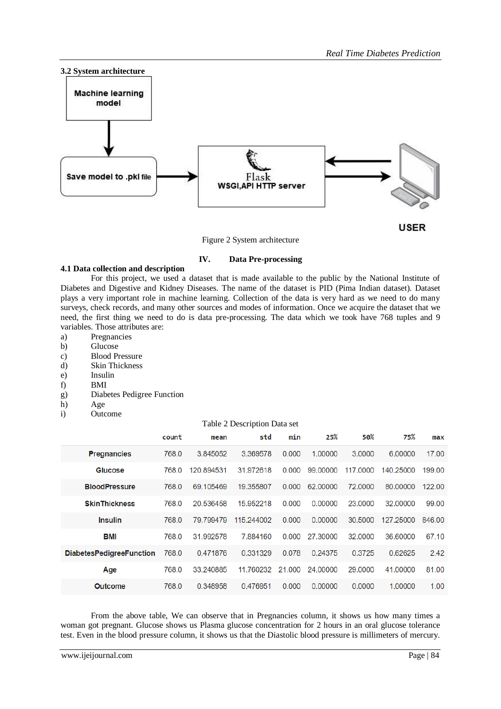

Figure 2 System architecture

# **IV. Data Pre-processing**

### **4.1 Data collection and description**

For this project, we used a dataset that is made available to the public by the National Institute of Diabetes and Digestive and Kidney Diseases. The name of the dataset is PID (Pima Indian dataset). Dataset plays a very important role in machine learning. Collection of the data is very hard as we need to do many surveys, check records, and many other sources and modes of information. Once we acquire the dataset that we need, the first thing we need to do is data pre-processing. The data which we took have 768 tuples and 9 variables. Those attributes are:

- a) Pregnancies
- b) Glucose
- c) Blood Pressure
- d) Skin Thickness
- e) Insulin
- f) BMI
- g) Diabetes Pedigree Function
- h) Age
- i) Outcome

### Table 2 Description Data set

|                                 | count | mean       | std        | min    | 25%      | 50%      | 75%       | max    |
|---------------------------------|-------|------------|------------|--------|----------|----------|-----------|--------|
| <b>Pregnancies</b>              | 768.0 | 3.845052   | 3.369578   | 0.000  | 1.00000  | 3.0000   | 6,00000   | 17.00  |
| <b>Glucose</b>                  | 768.0 | 120.894531 | 31.972618  | 0.000  | 99,00000 | 117,0000 | 140.25000 | 199.00 |
| <b>BloodPressure</b>            | 768.0 | 69.105469  | 19.355807  | 0.000  | 62,00000 | 72,0000  | 80.00000  | 122.00 |
| <b>SkinThickness</b>            | 768.0 | 20.536458  | 15.952218  | 0.000  | 0.00000  | 23,0000  | 32,00000  | 99.00  |
| <b>Insulin</b>                  | 768.0 | 79.799479  | 115.244002 | 0.000  | 0.00000  | 30.5000  | 127.25000 | 846.00 |
| BMI                             | 768.0 | 31.992578  | 7.884160   | 0.000  | 27,30000 | 32,0000  | 36,60000  | 67.10  |
| <b>DiabetesPedigreeFunction</b> | 768.0 | 0.471876   | 0.331329   | 0.078  | 0.24375  | 0.3725   | 0.62625   | 2.42   |
| Age                             | 768.0 | 33.240885  | 11.760232  | 21.000 | 24,00000 | 29,0000  | 41,00000  | 81.00  |
| <b>Outcome</b>                  | 768.0 | 0.348958   | 0.476951   | 0.000  | 0.00000  | 0.0000   | 1.00000   | 1.00   |

From the above table, We can observe that in Pregnancies column, it shows us how many times a woman got pregnant. Glucose shows us Plasma glucose concentration for 2 hours in an oral glucose tolerance test. Even in the blood pressure column, it shows us that the Diastolic blood pressure is millimeters of mercury.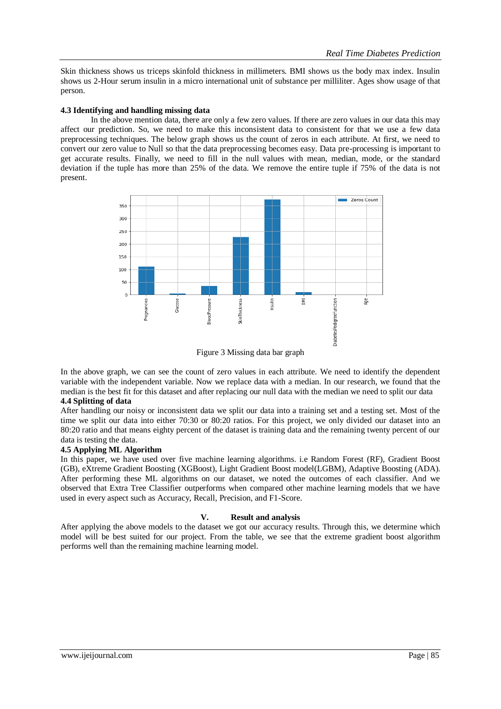Skin thickness shows us triceps skinfold thickness in millimeters. BMI shows us the body max index. Insulin shows us 2-Hour serum insulin in a micro international unit of substance per milliliter. Ages show usage of that person.

## **4.3 Identifying and handling missing data**

In the above mention data, there are only a few zero values. If there are zero values in our data this may affect our prediction. So, we need to make this inconsistent data to consistent for that we use a few data preprocessing techniques. The below graph shows us the count of zeros in each attribute. At first, we need to convert our zero value to Null so that the data preprocessing becomes easy. Data pre-processing is important to get accurate results. Finally, we need to fill in the null values with mean, median, mode, or the standard deviation if the tuple has more than 25% of the data. We remove the entire tuple if 75% of the data is not present.



Figure 3 Missing data bar graph

In the above graph, we can see the count of zero values in each attribute. We need to identify the dependent variable with the independent variable. Now we replace data with a median. In our research, we found that the median is the best fit for this dataset and after replacing our null data with the median we need to split our data **4.4 Splitting of data**

After handling our noisy or inconsistent data we split our data into a training set and a testing set. Most of the time we split our data into either 70:30 or 80:20 ratios. For this project, we only divided our dataset into an 80:20 ratio and that means eighty percent of the dataset is training data and the remaining twenty percent of our data is testing the data.

### **4.5 Applying ML Algorithm**

In this paper, we have used over five machine learning algorithms. i.e Random Forest (RF), Gradient Boost (GB), eXtreme Gradient Boosting (XGBoost), Light Gradient Boost model(LGBM), Adaptive Boosting (ADA). After performing these ML algorithms on our dataset, we noted the outcomes of each classifier. And we observed that Extra Tree Classifier outperforms when compared other machine learning models that we have used in every aspect such as Accuracy, Recall, Precision, and F1-Score.

### **V. Result and analysis**

After applying the above models to the dataset we got our accuracy results. Through this, we determine which model will be best suited for our project. From the table, we see that the extreme gradient boost algorithm performs well than the remaining machine learning model.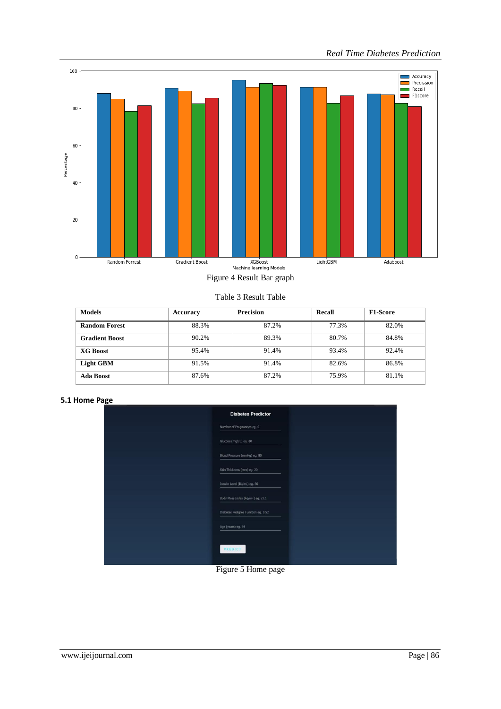

Figure 4 Result Bar graph

Table 3 Result Table

| <b>Models</b>         | Accuracy | <b>Precision</b> | Recall | <b>F1-Score</b> |
|-----------------------|----------|------------------|--------|-----------------|
| <b>Random Forest</b>  | 88.3%    | 87.2%            | 77.3%  | 82.0%           |
| <b>Gradient Boost</b> | 90.2%    | 89.3%            | 80.7%  | 84.8%           |
| <b>XG Boost</b>       | 95.4%    | 91.4%            | 93.4%  | 92.4%           |
| <b>Light GBM</b>      | 91.5%    | 91.4%            | 82.6%  | 86.8%           |
| Ada Boost             | 87.6%    | 87.2%            | 75.9%  | 81.1%           |

**5.1 Home Page**

| <b>Diabetes Predictor</b>                     |
|-----------------------------------------------|
| Number of Pregnancies eg. 0                   |
| Glucose (mg/dL) eg. 80                        |
| Blood Pressure (mmHg) eg. 80                  |
| Skin Thickness (mm) eg. 20                    |
| Insulin Level (IU/mL) eg. 80                  |
| Body Mass Index (kg/m <sup>2</sup> ) eg. 23.1 |
| Diabetes Pedigree Function eg. 0.52           |
| Age (years) eg. 34                            |
| PREDICT                                       |

Figure 5 Home page